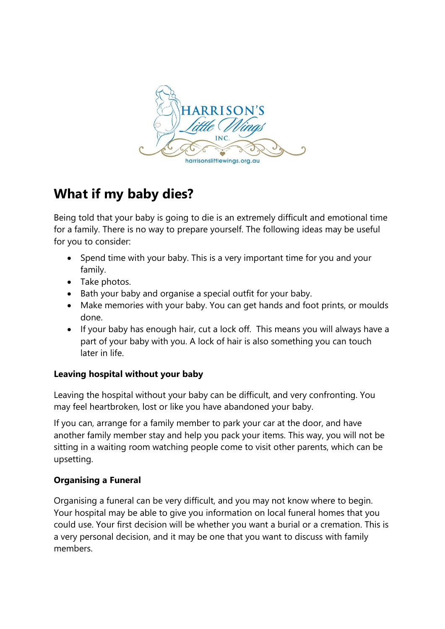

## **What if my baby dies?**

Being told that your baby is going to die is an extremely difficult and emotional time for a family. There is no way to prepare yourself. The following ideas may be useful for you to consider:

- Spend time with your baby. This is a very important time for you and your family.
- Take photos.
- Bath your baby and organise a special outfit for your baby.
- Make memories with your baby. You can get hands and foot prints, or moulds done.
- If your baby has enough hair, cut a lock off. This means you will always have a part of your baby with you. A lock of hair is also something you can touch later in life.

## **Leaving hospital without your baby**

Leaving the hospital without your baby can be difficult, and very confronting. You may feel heartbroken, lost or like you have abandoned your baby.

If you can, arrange for a family member to park your car at the door, and have another family member stay and help you pack your items. This way, you will not be sitting in a waiting room watching people come to visit other parents, which can be upsetting.

## **Organising a Funeral**

Organising a funeral can be very difficult, and you may not know where to begin. Your hospital may be able to give you information on local funeral homes that you could use. Your first decision will be whether you want a burial or a cremation. This is a very personal decision, and it may be one that you want to discuss with family members.